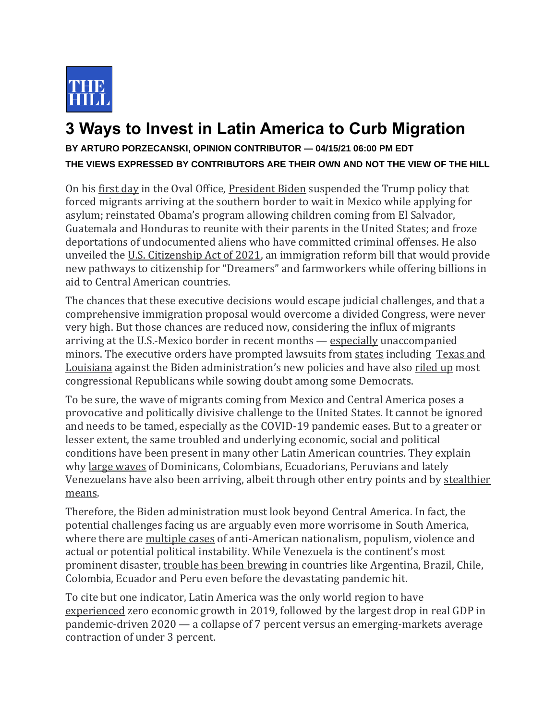

## **3 Ways to Invest in Latin America to Curb Migration**

## **BY ARTURO PORZECANSKI, OPINION CONTRIBUTOR — 04/15/21 06:00 PM EDT THE VIEWS EXPRESSED BY CONTRIBUTORS ARE THEIR OWN AND NOT THE VIEW OF THE HILL**

On his [first day](https://thehill.com/homenews/administration/535148-biden-seeks-to-immediately-turn-page-from-trump-era) in the Oval Office, [President Biden](https://thehill.com/people/joe-biden) suspended the Trump policy that forced migrants arriving at the southern border to wait in Mexico while applying for asylum; reinstated Obama's program allowing children coming from El Salvador, Guatemala and Honduras to reunite with their parents in the United States; and froze deportations of undocumented aliens who have committed criminal offenses. He also unveiled the [U.S. Citizenship Act of 2021,](https://www.mondaq.com/unitedstates/work-visas/1043948/us-citizenship-act-of-2021-unveiled-by-biden-administration-democrats#:~:text=The%20Biden%20administration%20and%20Democratic,root%20causes%20of%20migration%2C%20responsibly) an immigration reform bill that would provide new pathways to citizenship for "Dreamers" and farmworkers while offering billions in aid to Central American countries.

The chances that these executive decisions would escape judicial challenges, and that a comprehensive immigration proposal would overcome a divided Congress, were never very high. But those chances are reduced now, considering the influx of migrants arriving at the U.S.-Mexico border in recent months — [especially](https://www.washingtonpost.com/nation/2021/03/22/unaccompanied-minors-immigration-obama-trump-biden/) unaccompanied minors. The executive orders have prompted lawsuits from [states](https://thehill.com/policy/national-security/547931-texas-sues-biden-for-rescinding-trumps-remain-in-mexico-policy) including Texas and [Louisiana](https://thehill.com/latino/546987-texas-louisiana-sue-biden-administration-over-reduced-use-of-ice-detainers) against the Biden administration's new policies and have also [riled up](https://thehill.com/homenews/senate/547801-democrats-face-mounting-hurdles-to-agenda) most congressional Republicans while sowing doubt among some Democrats.

To be sure, the wave of migrants coming from Mexico and Central America poses a provocative and politically divisive challenge to the United States. It cannot be ignored and needs to be tamed, especially as the COVID-19 pandemic eases. But to a greater or lesser extent, the same troubled and underlying economic, social and political conditions have been present in many other Latin American countries. They explain why [large waves](https://www.pewresearch.org/fact-tank/2019/09/16/key-facts-about-u-s-hispanics/) of Dominicans, Colombians, Ecuadorians, Peruvians and lately Venezuelans have also been arriving, albeit through other entry points and by [stealthier](https://www.theatlantic.com/international/archive/2019/04/real-immigration-crisis-people-overstaying-their-visas/587485/)  [means.](https://www.theatlantic.com/international/archive/2019/04/real-immigration-crisis-people-overstaying-their-visas/587485/)

Therefore, the Biden administration must look beyond Central America. In fact, the potential challenges facing us are arguably even more worrisome in South America, where there are [multiple cases](https://www.csis.org/analysis/latin-america-will-engage-new-administration) of anti-American nationalism, populism, violence and actual or potential political instability. While Venezuela is the continent's most prominent disaster, [trouble has been brewing](https://www.washingtonpost.com/world/the_americas/a-government-chased-from-its-capital-a-president-forced-into-exile-a-storm-of-protest-rages-in-south-america/2019/11/14/897f85ba-0651-11ea-9118-25d6bd37dfb1_story.html) in countries like Argentina, Brazil, Chile, Colombia, Ecuador and Peru even before the devastating pandemic hit.

To cite but one indicator, Latin America was the only world region to [have](https://www.imf.org/-/media/Files/Publications/WEO/2021/April/English/Ch1.ashx)  [experienced](https://www.imf.org/-/media/Files/Publications/WEO/2021/April/English/Ch1.ashx) zero economic growth in 2019, followed by the largest drop in real GDP in pandemic-driven 2020 — a collapse of 7 percent versus an emerging-markets average contraction of under 3 percent.